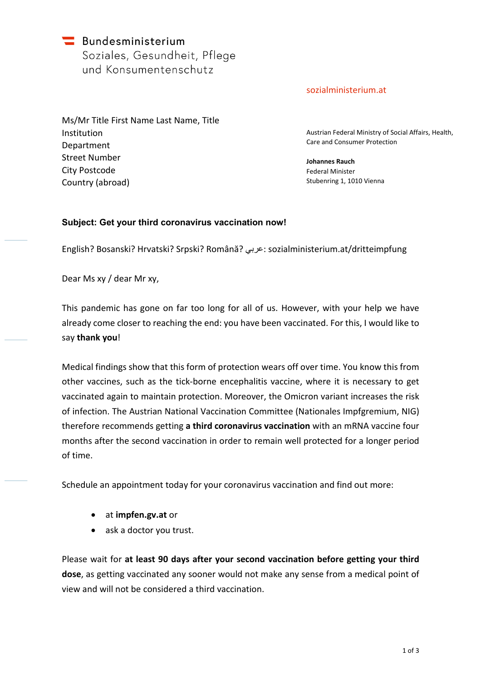$\blacksquare$  Bundesministerium Soziales, Gesundheit, Pflege und Konsumentenschutz

[sozialministerium.at](http://www.sozialministerium.at/)

Ms/Mr Title First Name Last Name, Title Institution Department Street Number City Postcode Country (abroad)

Austrian Federal Ministry of Social Affairs, Health, Care and Consumer Protection

**Johannes Rauch** Federal Minister Stubenring 1, 1010 Vienna

# **Subject: Get your third coronavirus vaccination now!**

English? Bosanski? Hrvatski? Srpski? Română? عربي[: sozialministerium.at/dritteimpfung](www.sozialministerium.at/dritteimpfung)

Dear Ms xy / dear Mr xy,

This pandemic has gone on far too long for all of us. However, with your help we have already come closer to reaching the end: you have been vaccinated. For this, I would like to say **thank you**!

Medical findings show that this form of protection wears off over time. You know this from other vaccines, such as the tick-borne encephalitis vaccine, where it is necessary to get vaccinated again to maintain protection. Moreover, the Omicron variant increases the risk of infection. The Austrian National Vaccination Committee (Nationales Impfgremium, NIG) therefore recommends getting **a third coronavirus vaccination** with an mRNA vaccine four months after the second vaccination in order to remain well protected for a longer period of time.

Schedule an appointment today for your coronavirus vaccination and find out more:

- at **<impfen.gv.at>** or
- ask a doctor you trust.

Please wait for **at least 90 days after your second vaccination before getting your third dose**, as getting vaccinated any sooner would not make any sense from a medical point of view and will not be considered a third vaccination.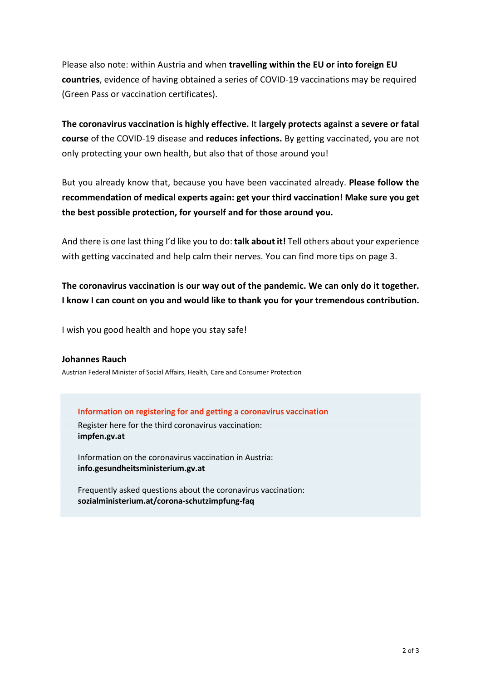Please also note: within Austria and when **travelling within the EU or into foreign EU countries**, evidence of having obtained a series of COVID-19 vaccinations may be required (Green Pass or vaccination certificates).

**The coronavirus vaccination is highly effective.** It **largely protects against a severe or fatal course** of the COVID-19 disease and **reduces infections.** By getting vaccinated, you are not only protecting your own health, but also that of those around you!

But you already know that, because you have been vaccinated already. **Please follow the recommendation of medical experts again: get your third vaccination! Make sure you get the best possible protection, for yourself and for those around you.** 

And there is one last thing I'd like you to do: **talk about it!** Tell others about your experience with getting vaccinated and help calm their nerves. You can find more tips on page 3.

**The coronavirus vaccination is our way out of the pandemic. We can only do it together. I know I can count on you and would like to thank you for your tremendous contribution.**

I wish you good health and hope you stay safe!

#### **Johannes Rauch**

Austrian Federal Minister of Social Affairs, Health, Care and Consumer Protection

**Information on registering for and getting a coronavirus vaccination**

Register here for the third coronavirus vaccination: **<impfen.gv.at>**

Information on the coronavirus vaccination in Austria: **<info.gesundheitsministerium.gv.at>**

Frequently asked questions about the coronavirus vaccination: **[sozialministerium.at/corona-schutzimpfung-faq](www.sozialministerium.at/corona-schutzimpfung-faq)**